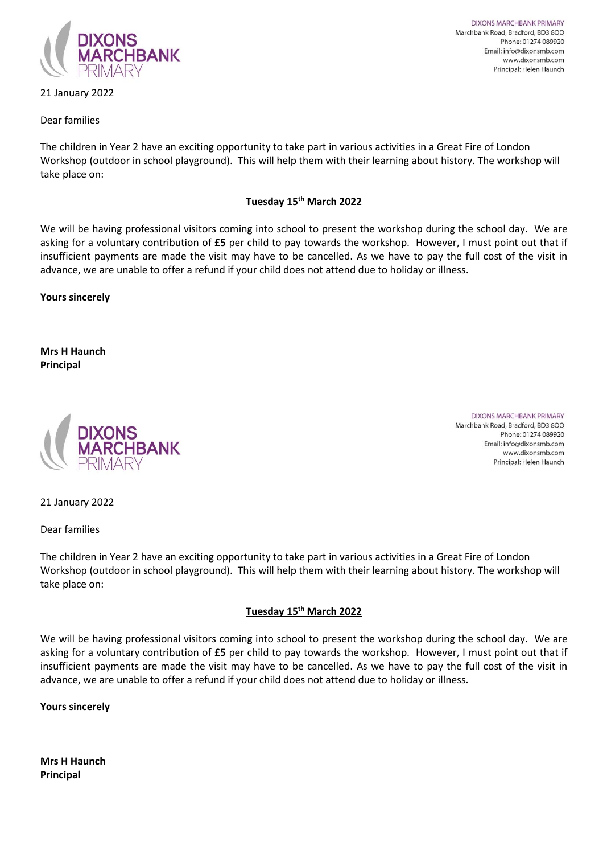

## 21 January 2022

**DIXONS MARCHBANK PRIMARY** Marchbank Road, Bradford, BD3 8QQ Phone: 01274 089920 Email: info@dixonsmb.com www.dixonsmb.com Principal: Helen Haunch

## Dear families

The children in Year 2 have an exciting opportunity to take part in various activities in a Great Fire of London Workshop (outdoor in school playground). This will help them with their learning about history. The workshop will take place on:

## **Tuesday 15th March 2022**

We will be having professional visitors coming into school to present the workshop during the school day. We are asking for a voluntary contribution of **£5** per child to pay towards the workshop. However, I must point out that if insufficient payments are made the visit may have to be cancelled. As we have to pay the full cost of the visit in advance, we are unable to offer a refund if your child does not attend due to holiday or illness.

**Yours sincerely**

**Mrs H Haunch Principal**



**DIXONS MARCHBANK PRIMARY** Marchbank Road, Bradford, BD3 8QQ Phone: 01274 089920 Email: info@dixonsmb.com www.dixonsmb.com Principal: Helen Haunch

21 January 2022

Dear families

The children in Year 2 have an exciting opportunity to take part in various activities in a Great Fire of London Workshop (outdoor in school playground). This will help them with their learning about history. The workshop will take place on:

## **Tuesday 15th March 2022**

We will be having professional visitors coming into school to present the workshop during the school day. We are asking for a voluntary contribution of **£5** per child to pay towards the workshop. However, I must point out that if insufficient payments are made the visit may have to be cancelled. As we have to pay the full cost of the visit in advance, we are unable to offer a refund if your child does not attend due to holiday or illness.

**Yours sincerely**

**Mrs H Haunch Principal**